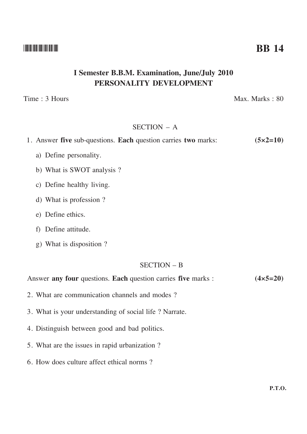#### --

# **I Semester B.B.M. Examination, June/July 2010 PERSONALITY DEVELOPMENT**

Time : 3 Hours Max. Marks : 80

#### SECTION – A

|  |  |  | 1. Answer five sub-questions. Each question carries two marks: |  |  |  |  |  |  | $(5 \times 2 = 10)$ |  |
|--|--|--|----------------------------------------------------------------|--|--|--|--|--|--|---------------------|--|
|--|--|--|----------------------------------------------------------------|--|--|--|--|--|--|---------------------|--|

- a) Define personality.
- b) What is SWOT analysis ?
- c) Define healthy living.
- d) What is profession ?
- e) Define ethics.
- f) Define attitude.
- g) What is disposition ?

#### SECTION – B

Answer **any four** questions. **Each** question carries **five** marks :  $(4 \times 5 = 20)$ 

- 2. What are communication channels and modes ?
- 3. What is your understanding of social life ? Narrate.
- 4. Distinguish between good and bad politics.
- 5. What are the issues in rapid urbanization ?
- 6. How does culture affect ethical norms ?